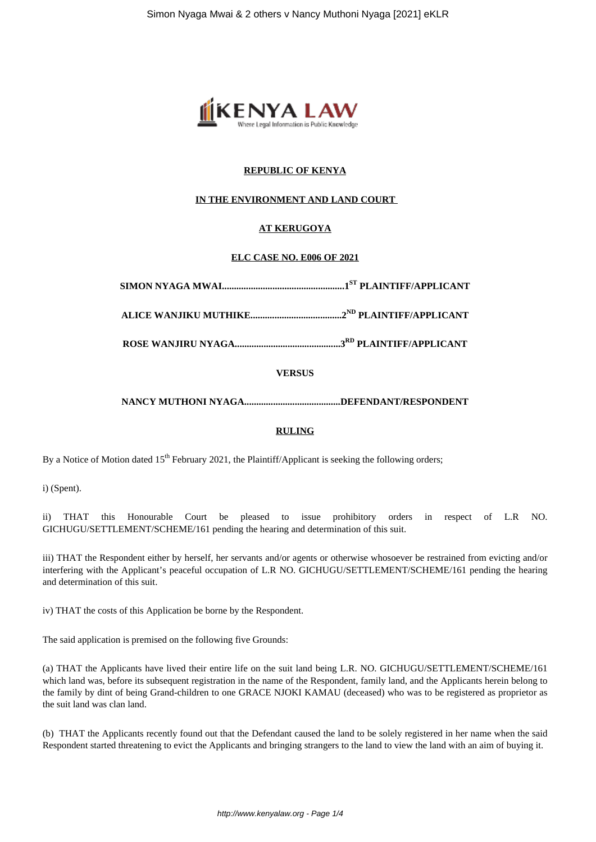

# **REPUBLIC OF KENYA**

# **IN THE ENVIRONMENT AND LAND COURT**

# **AT KERUGOYA**

# **ELC CASE NO. E006 OF 2021**

**ROSE WANJIRU NYAGA............................................3RD PLAINTIFF/APPLICANT**

# **VERSUS**

# **NANCY MUTHONI NYAGA........................................DEFENDANT/RESPONDENT**

### **RULING**

By a Notice of Motion dated 15<sup>th</sup> February 2021, the Plaintiff/Applicant is seeking the following orders;

i) (Spent).

ii) THAT this Honourable Court be pleased to issue prohibitory orders in respect of L.R NO. GICHUGU/SETTLEMENT/SCHEME/161 pending the hearing and determination of this suit.

iii) THAT the Respondent either by herself, her servants and/or agents or otherwise whosoever be restrained from evicting and/or interfering with the Applicant's peaceful occupation of L.R NO. GICHUGU/SETTLEMENT/SCHEME/161 pending the hearing and determination of this suit.

iv) THAT the costs of this Application be borne by the Respondent.

The said application is premised on the following five Grounds:

(a) THAT the Applicants have lived their entire life on the suit land being L.R. NO. GICHUGU/SETTLEMENT/SCHEME/161 which land was, before its subsequent registration in the name of the Respondent, family land, and the Applicants herein belong to the family by dint of being Grand-children to one GRACE NJOKI KAMAU (deceased) who was to be registered as proprietor as the suit land was clan land.

(b) THAT the Applicants recently found out that the Defendant caused the land to be solely registered in her name when the said Respondent started threatening to evict the Applicants and bringing strangers to the land to view the land with an aim of buying it.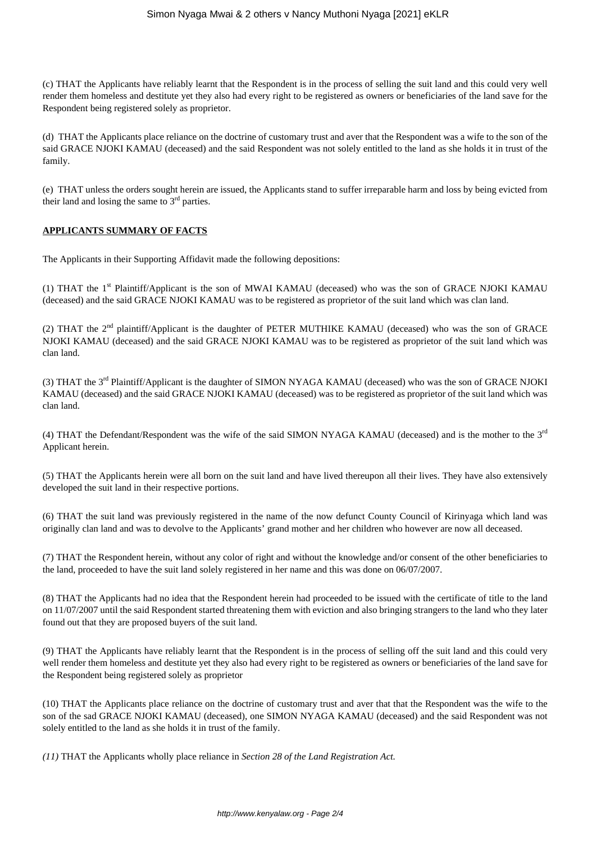(c) THAT the Applicants have reliably learnt that the Respondent is in the process of selling the suit land and this could very well render them homeless and destitute yet they also had every right to be registered as owners or beneficiaries of the land save for the Respondent being registered solely as proprietor.

(d) THAT the Applicants place reliance on the doctrine of customary trust and aver that the Respondent was a wife to the son of the said GRACE NJOKI KAMAU (deceased) and the said Respondent was not solely entitled to the land as she holds it in trust of the family.

(e) THAT unless the orders sought herein are issued, the Applicants stand to suffer irreparable harm and loss by being evicted from their land and losing the same to  $3<sup>rd</sup>$  parties.

#### **APPLICANTS SUMMARY OF FACTS**

The Applicants in their Supporting Affidavit made the following depositions:

(1) THAT the 1st Plaintiff/Applicant is the son of MWAI KAMAU (deceased) who was the son of GRACE NJOKI KAMAU (deceased) and the said GRACE NJOKI KAMAU was to be registered as proprietor of the suit land which was clan land.

(2) THAT the  $2<sup>nd</sup>$  plaintiff/Applicant is the daughter of PETER MUTHIKE KAMAU (deceased) who was the son of GRACE NJOKI KAMAU (deceased) and the said GRACE NJOKI KAMAU was to be registered as proprietor of the suit land which was clan land.

(3) THAT the 3<sup>rd</sup> Plaintiff/Applicant is the daughter of SIMON NYAGA KAMAU (deceased) who was the son of GRACE NJOKI KAMAU (deceased) and the said GRACE NJOKI KAMAU (deceased) was to be registered as proprietor of the suit land which was clan land.

(4) THAT the Defendant/Respondent was the wife of the said SIMON NYAGA KAMAU (deceased) and is the mother to the  $3^{rd}$ Applicant herein.

(5) THAT the Applicants herein were all born on the suit land and have lived thereupon all their lives. They have also extensively developed the suit land in their respective portions.

(6) THAT the suit land was previously registered in the name of the now defunct County Council of Kirinyaga which land was originally clan land and was to devolve to the Applicants' grand mother and her children who however are now all deceased.

(7) THAT the Respondent herein, without any color of right and without the knowledge and/or consent of the other beneficiaries to the land, proceeded to have the suit land solely registered in her name and this was done on 06/07/2007.

(8) THAT the Applicants had no idea that the Respondent herein had proceeded to be issued with the certificate of title to the land on 11/07/2007 until the said Respondent started threatening them with eviction and also bringing strangers to the land who they later found out that they are proposed buyers of the suit land.

(9) THAT the Applicants have reliably learnt that the Respondent is in the process of selling off the suit land and this could very well render them homeless and destitute yet they also had every right to be registered as owners or beneficiaries of the land save for the Respondent being registered solely as proprietor

(10) THAT the Applicants place reliance on the doctrine of customary trust and aver that that the Respondent was the wife to the son of the sad GRACE NJOKI KAMAU (deceased), one SIMON NYAGA KAMAU (deceased) and the said Respondent was not solely entitled to the land as she holds it in trust of the family.

*(11)* THAT the Applicants wholly place reliance in *Section 28 of the Land Registration Act.*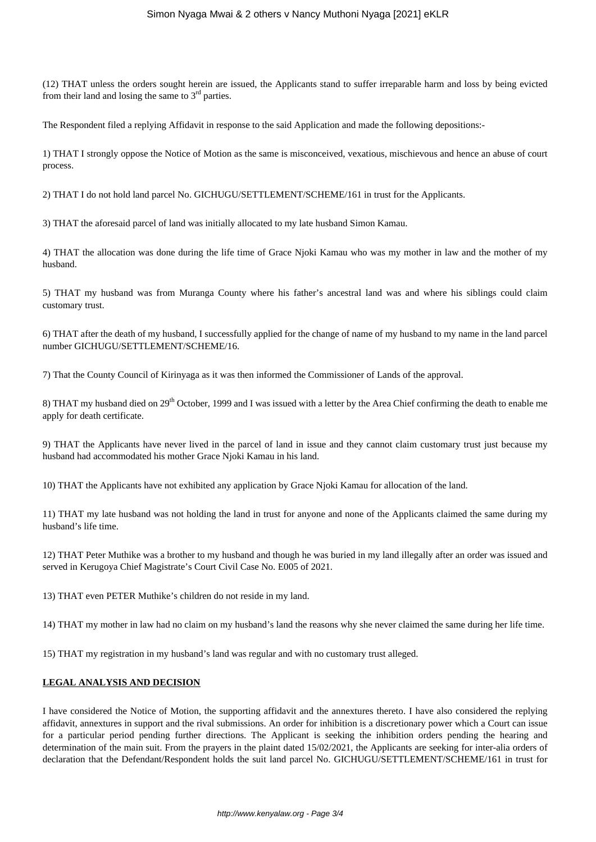(12) THAT unless the orders sought herein are issued, the Applicants stand to suffer irreparable harm and loss by being evicted from their land and losing the same to  $3<sup>rd</sup>$  parties.

The Respondent filed a replying Affidavit in response to the said Application and made the following depositions:-

1) THAT I strongly oppose the Notice of Motion as the same is misconceived, vexatious, mischievous and hence an abuse of court process.

2) THAT I do not hold land parcel No. GICHUGU/SETTLEMENT/SCHEME/161 in trust for the Applicants.

3) THAT the aforesaid parcel of land was initially allocated to my late husband Simon Kamau.

4) THAT the allocation was done during the life time of Grace Njoki Kamau who was my mother in law and the mother of my husband.

5) THAT my husband was from Muranga County where his father's ancestral land was and where his siblings could claim customary trust.

6) THAT after the death of my husband, I successfully applied for the change of name of my husband to my name in the land parcel number GICHUGU/SETTLEMENT/SCHEME/16.

7) That the County Council of Kirinyaga as it was then informed the Commissioner of Lands of the approval.

8) THAT my husband died on  $29<sup>th</sup>$  October, 1999 and I was issued with a letter by the Area Chief confirming the death to enable me apply for death certificate.

9) THAT the Applicants have never lived in the parcel of land in issue and they cannot claim customary trust just because my husband had accommodated his mother Grace Njoki Kamau in his land.

10) THAT the Applicants have not exhibited any application by Grace Njoki Kamau for allocation of the land.

11) THAT my late husband was not holding the land in trust for anyone and none of the Applicants claimed the same during my husband's life time.

12) THAT Peter Muthike was a brother to my husband and though he was buried in my land illegally after an order was issued and served in Kerugoya Chief Magistrate's Court Civil Case No. E005 of 2021.

13) THAT even PETER Muthike's children do not reside in my land.

14) THAT my mother in law had no claim on my husband's land the reasons why she never claimed the same during her life time.

15) THAT my registration in my husband's land was regular and with no customary trust alleged.

# **LEGAL ANALYSIS AND DECISION**

I have considered the Notice of Motion, the supporting affidavit and the annextures thereto. I have also considered the replying affidavit, annextures in support and the rival submissions. An order for inhibition is a discretionary power which a Court can issue for a particular period pending further directions. The Applicant is seeking the inhibition orders pending the hearing and determination of the main suit. From the prayers in the plaint dated 15/02/2021, the Applicants are seeking for inter-alia orders of declaration that the Defendant/Respondent holds the suit land parcel No. GICHUGU/SETTLEMENT/SCHEME/161 in trust for